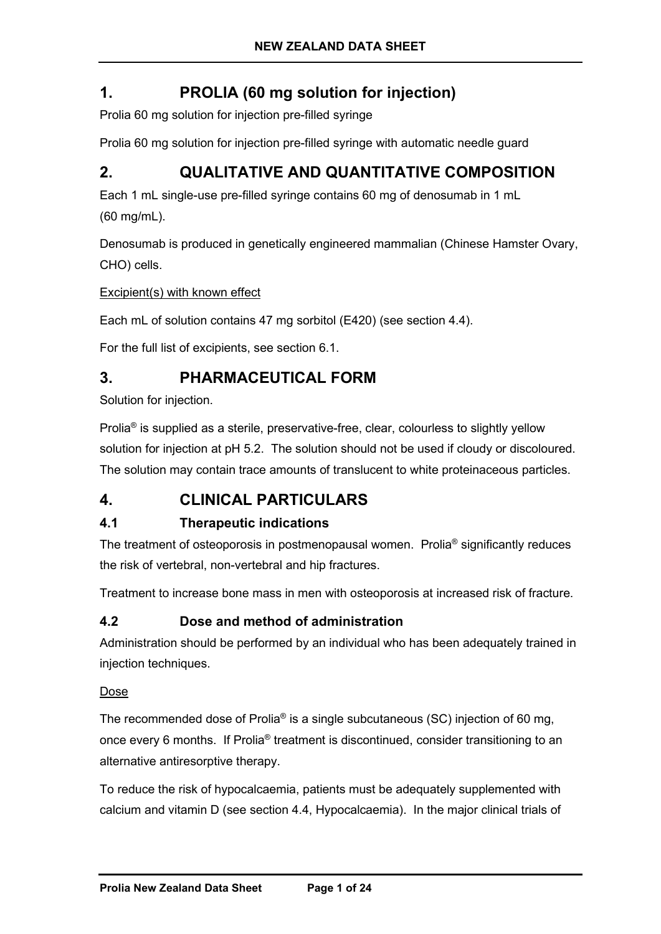# **1. PROLIA (60 mg solution for injection)**

Prolia 60 mg solution for injection pre-filled syringe

Prolia 60 mg solution for injection pre-filled syringe with automatic needle guard

# **2. QUALITATIVE AND QUANTITATIVE COMPOSITION**

Each 1 mL single-use pre-filled syringe contains 60 mg of denosumab in 1 mL (60 mg/mL).

Denosumab is produced in genetically engineered mammalian (Chinese Hamster Ovary, CHO) cells.

Excipient(s) with known effect

Each mL of solution contains 47 mg sorbitol (E420) (see section 4.4).

For the full list of excipients, see section 6.1.

# **3. PHARMACEUTICAL FORM**

Solution for injection.

Prolia® is supplied as a sterile, preservative-free, clear, colourless to slightly yellow solution for injection at pH 5.2. The solution should not be used if cloudy or discoloured. The solution may contain trace amounts of translucent to white proteinaceous particles.

# **4. CLINICAL PARTICULARS**

# **4.1 Therapeutic indications**

The treatment of osteoporosis in postmenopausal women. Prolia® significantly reduces the risk of vertebral, non-vertebral and hip fractures.

Treatment to increase bone mass in men with osteoporosis at increased risk of fracture.

# **4.2 Dose and method of administration**

Administration should be performed by an individual who has been adequately trained in injection techniques.

## Dose

The recommended dose of Prolia<sup>®</sup> is a single subcutaneous (SC) injection of 60 mg, once every 6 months. If Prolia® treatment is discontinued, consider transitioning to an alternative antiresorptive therapy.

To reduce the risk of hypocalcaemia, patients must be adequately supplemented with calcium and vitamin D (see section 4.4, Hypocalcaemia). In the major clinical trials of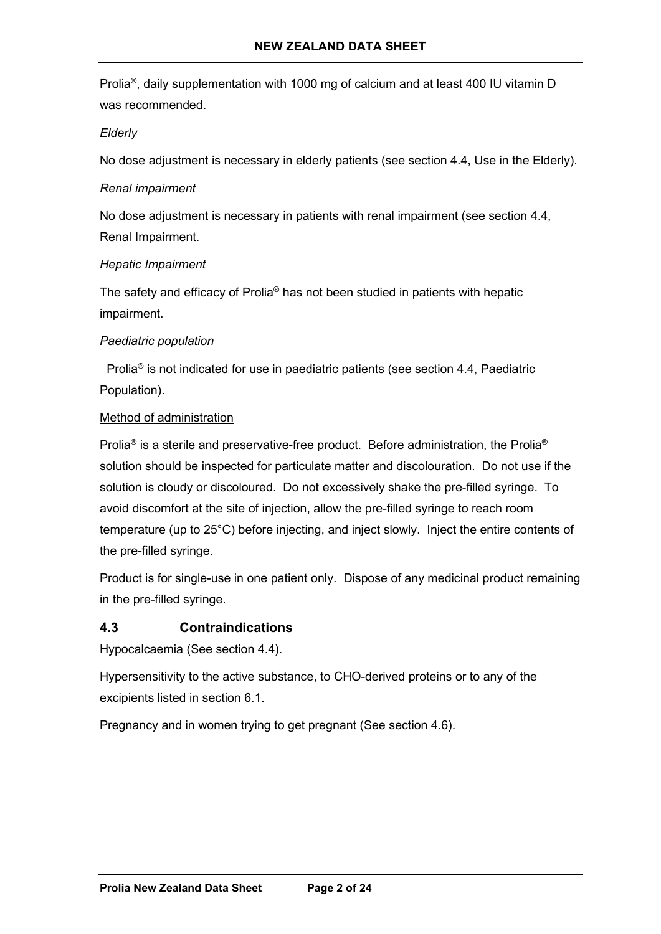Prolia®, daily supplementation with 1000 mg of calcium and at least 400 IU vitamin D was recommended.

### *Elderly*

No dose adjustment is necessary in elderly patients (see section 4.4, Use in the Elderly).

### *Renal impairment*

No dose adjustment is necessary in patients with renal impairment (see section 4.4, Renal Impairment.

### *Hepatic Impairment*

The safety and efficacy of Prolia® has not been studied in patients with hepatic impairment.

### *Paediatric population*

 Prolia® is not indicated for use in paediatric patients (see section 4.4, Paediatric Population).

### Method of administration

Prolia<sup>®</sup> is a sterile and preservative-free product. Before administration, the Prolia<sup>®</sup> solution should be inspected for particulate matter and discolouration. Do not use if the solution is cloudy or discoloured. Do not excessively shake the pre-filled syringe. To avoid discomfort at the site of injection, allow the pre-filled syringe to reach room temperature (up to 25°C) before injecting, and inject slowly. Inject the entire contents of the pre-filled syringe.

Product is for single-use in one patient only. Dispose of any medicinal product remaining in the pre-filled syringe.

## **4.3 Contraindications**

Hypocalcaemia (See section 4.4).

Hypersensitivity to the active substance, to CHO-derived proteins or to any of the excipients listed in section 6.1.

Pregnancy and in women trying to get pregnant (See section 4.6).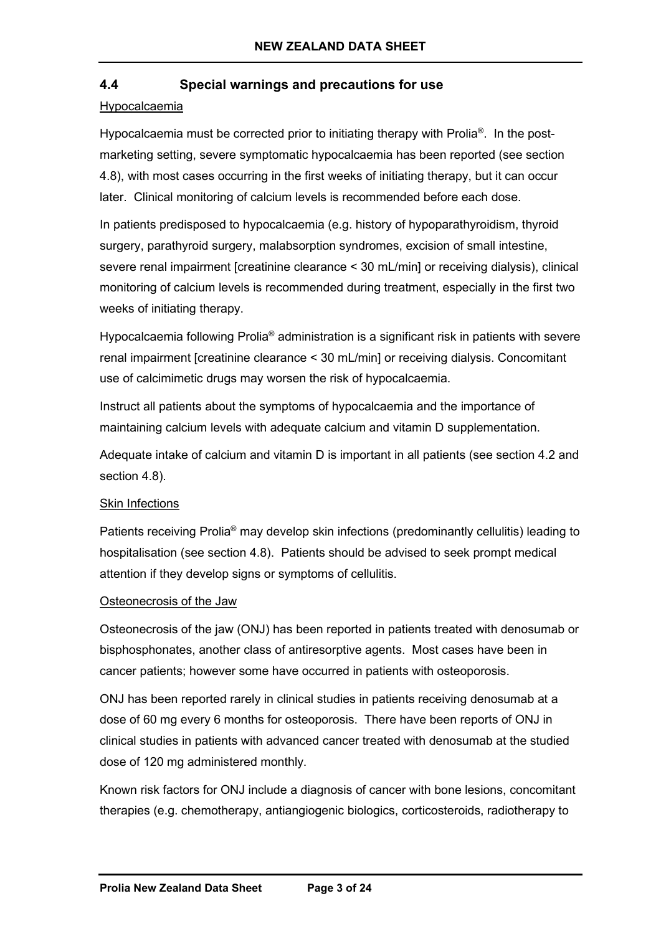# **4.4 Special warnings and precautions for use**

### Hypocalcaemia

Hypocalcaemia must be corrected prior to initiating therapy with Prolia<sup>®</sup>. In the postmarketing setting, severe symptomatic hypocalcaemia has been reported (see section 4.8), with most cases occurring in the first weeks of initiating therapy, but it can occur later. Clinical monitoring of calcium levels is recommended before each dose.

In patients predisposed to hypocalcaemia (e.g. history of hypoparathyroidism, thyroid surgery, parathyroid surgery, malabsorption syndromes, excision of small intestine, severe renal impairment [creatinine clearance < 30 mL/min] or receiving dialysis), clinical monitoring of calcium levels is recommended during treatment, especially in the first two weeks of initiating therapy.

Hypocalcaemia following Prolia<sup>®</sup> administration is a significant risk in patients with severe renal impairment [creatinine clearance < 30 mL/min] or receiving dialysis. Concomitant use of calcimimetic drugs may worsen the risk of hypocalcaemia.

Instruct all patients about the symptoms of hypocalcaemia and the importance of maintaining calcium levels with adequate calcium and vitamin D supplementation.

Adequate intake of calcium and vitamin D is important in all patients (see section 4.2 and section 4.8).

### Skin Infections

Patients receiving Prolia® may develop skin infections (predominantly cellulitis) leading to hospitalisation (see section 4.8). Patients should be advised to seek prompt medical attention if they develop signs or symptoms of cellulitis.

### Osteonecrosis of the Jaw

Osteonecrosis of the jaw (ONJ) has been reported in patients treated with denosumab or bisphosphonates, another class of antiresorptive agents. Most cases have been in cancer patients; however some have occurred in patients with osteoporosis.

ONJ has been reported rarely in clinical studies in patients receiving denosumab at a dose of 60 mg every 6 months for osteoporosis. There have been reports of ONJ in clinical studies in patients with advanced cancer treated with denosumab at the studied dose of 120 mg administered monthly.

Known risk factors for ONJ include a diagnosis of cancer with bone lesions, concomitant therapies (e.g. chemotherapy, antiangiogenic biologics, corticosteroids, radiotherapy to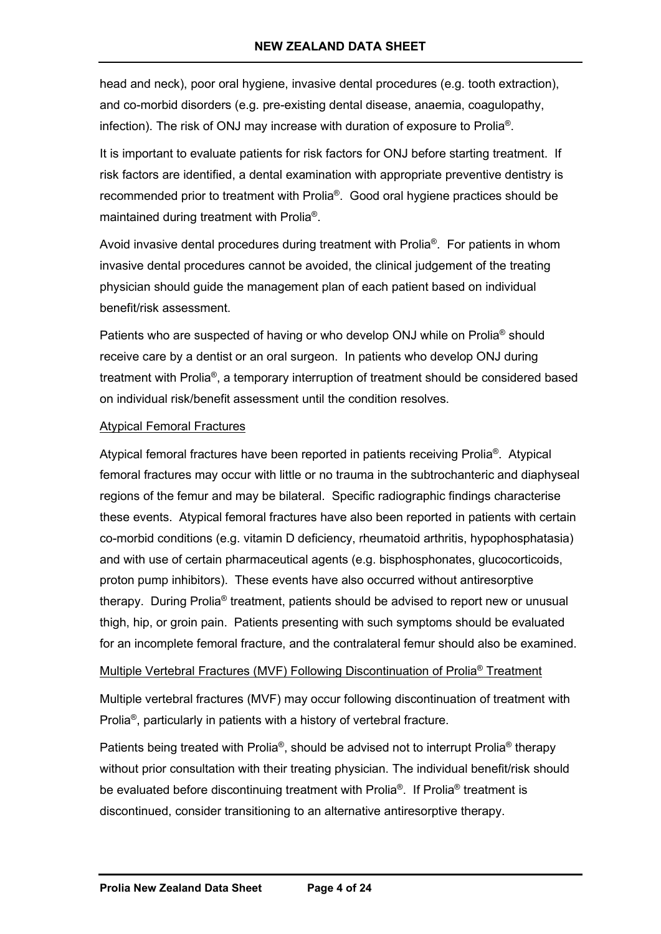head and neck), poor oral hygiene, invasive dental procedures (e.g. tooth extraction), and co-morbid disorders (e.g. pre-existing dental disease, anaemia, coagulopathy, infection). The risk of ONJ may increase with duration of exposure to Prolia®.

It is important to evaluate patients for risk factors for ONJ before starting treatment. If risk factors are identified, a dental examination with appropriate preventive dentistry is recommended prior to treatment with Prolia®. Good oral hygiene practices should be maintained during treatment with Prolia®.

Avoid invasive dental procedures during treatment with Prolia<sup>®</sup>. For patients in whom invasive dental procedures cannot be avoided, the clinical judgement of the treating physician should guide the management plan of each patient based on individual benefit/risk assessment.

Patients who are suspected of having or who develop ONJ while on Prolia<sup>®</sup> should receive care by a dentist or an oral surgeon. In patients who develop ONJ during treatment with Prolia®, a temporary interruption of treatment should be considered based on individual risk/benefit assessment until the condition resolves.

### Atypical Femoral Fractures

Atypical femoral fractures have been reported in patients receiving Prolia®. Atypical femoral fractures may occur with little or no trauma in the subtrochanteric and diaphyseal regions of the femur and may be bilateral. Specific radiographic findings characterise these events. Atypical femoral fractures have also been reported in patients with certain co-morbid conditions (e.g. vitamin D deficiency, rheumatoid arthritis, hypophosphatasia) and with use of certain pharmaceutical agents (e.g. bisphosphonates, glucocorticoids, proton pump inhibitors). These events have also occurred without antiresorptive therapy. During Prolia® treatment, patients should be advised to report new or unusual thigh, hip, or groin pain. Patients presenting with such symptoms should be evaluated for an incomplete femoral fracture, and the contralateral femur should also be examined.

### Multiple Vertebral Fractures (MVF) Following Discontinuation of Prolia® Treatment

Multiple vertebral fractures (MVF) may occur following discontinuation of treatment with Prolia®, particularly in patients with a history of vertebral fracture.

Patients being treated with Prolia<sup>®</sup>, should be advised not to interrupt Prolia<sup>®</sup> therapy without prior consultation with their treating physician. The individual benefit/risk should be evaluated before discontinuing treatment with Prolia®. If Prolia® treatment is discontinued, consider transitioning to an alternative antiresorptive therapy.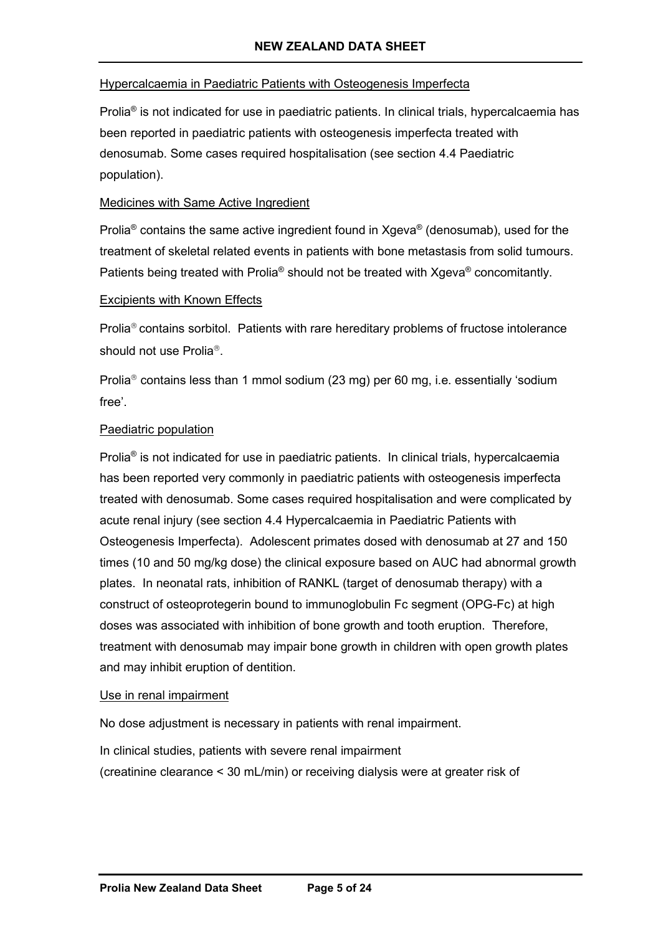### Hypercalcaemia in Paediatric Patients with Osteogenesis Imperfecta

Prolia® is not indicated for use in paediatric patients. In clinical trials, hypercalcaemia has been reported in paediatric patients with osteogenesis imperfecta treated with denosumab. Some cases required hospitalisation (see section 4.4 Paediatric population).

### Medicines with Same Active Ingredient

Prolia<sup>®</sup> contains the same active ingredient found in Xgeva<sup>®</sup> (denosumab), used for the treatment of skeletal related events in patients with bone metastasis from solid tumours. Patients being treated with Prolia<sup>®</sup> should not be treated with Xgeva<sup>®</sup> concomitantly.

### Excipients with Known Effects

Prolia<sup>®</sup> contains sorbitol. Patients with rare hereditary problems of fructose intolerance should not use Prolia<sup>®</sup>.

Prolia<sup>®</sup> contains less than 1 mmol sodium (23 mg) per 60 mg, i.e. essentially 'sodium free'.

### Paediatric population

Prolia<sup>®</sup> is not indicated for use in paediatric patients. In clinical trials, hypercalcaemia has been reported very commonly in paediatric patients with osteogenesis imperfecta treated with denosumab. Some cases required hospitalisation and were complicated by acute renal injury (see section 4.4 Hypercalcaemia in Paediatric Patients with Osteogenesis Imperfecta). Adolescent primates dosed with denosumab at 27 and 150 times (10 and 50 mg/kg dose) the clinical exposure based on AUC had abnormal growth plates. In neonatal rats, inhibition of RANKL (target of denosumab therapy) with a construct of osteoprotegerin bound to immunoglobulin Fc segment (OPG-Fc) at high doses was associated with inhibition of bone growth and tooth eruption. Therefore, treatment with denosumab may impair bone growth in children with open growth plates and may inhibit eruption of dentition.

### Use in renal impairment

No dose adjustment is necessary in patients with renal impairment.

In clinical studies, patients with severe renal impairment (creatinine clearance < 30 mL/min) or receiving dialysis were at greater risk of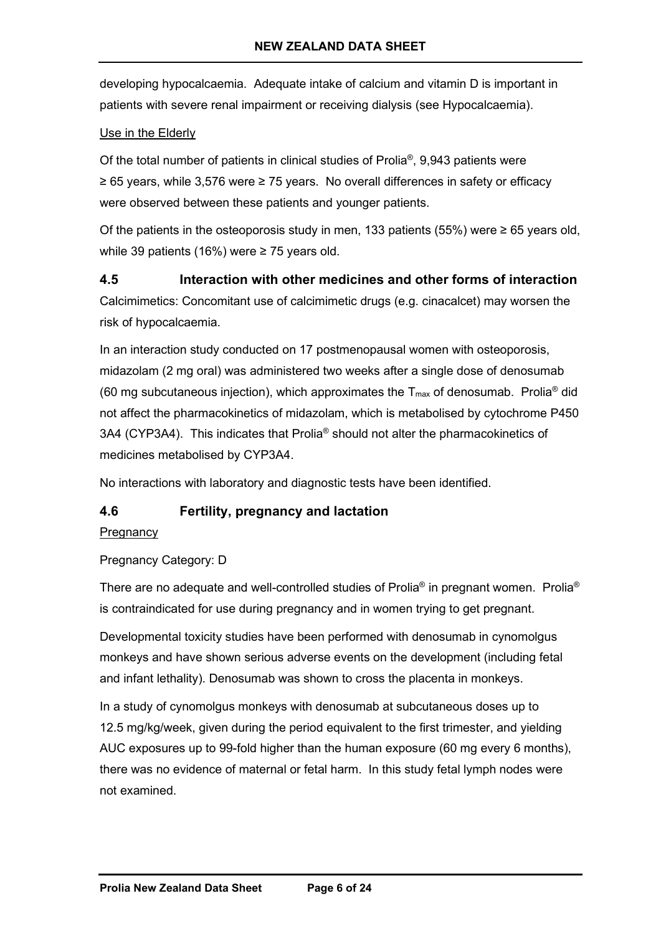developing hypocalcaemia. Adequate intake of calcium and vitamin D is important in patients with severe renal impairment or receiving dialysis (see Hypocalcaemia).

# Use in the Elderly

Of the total number of patients in clinical studies of Prolia®, 9,943 patients were ≥ 65 years, while 3,576 were ≥ 75 years. No overall differences in safety or efficacy were observed between these patients and younger patients.

Of the patients in the osteoporosis study in men, 133 patients (55%) were  $\geq 65$  years old, while 39 patients (16%) were ≥ 75 years old.

# **4.5 Interaction with other medicines and other forms of interaction** Calcimimetics: Concomitant use of calcimimetic drugs (e.g. cinacalcet) may worsen the risk of hypocalcaemia.

In an interaction study conducted on 17 postmenopausal women with osteoporosis, midazolam (2 mg oral) was administered two weeks after a single dose of denosumab (60 mg subcutaneous injection), which approximates the  $T_{\text{max}}$  of denosumab. Prolia<sup>®</sup> did not affect the pharmacokinetics of midazolam, which is metabolised by cytochrome P450 3A4 (CYP3A4). This indicates that Prolia® should not alter the pharmacokinetics of medicines metabolised by CYP3A4.

No interactions with laboratory and diagnostic tests have been identified.

# **4.6 Fertility, pregnancy and lactation**

## **Pregnancy**

Pregnancy Category: D

There are no adequate and well-controlled studies of Prolia<sup>®</sup> in pregnant women. Prolia<sup>®</sup> is contraindicated for use during pregnancy and in women trying to get pregnant.

Developmental toxicity studies have been performed with denosumab in cynomolgus monkeys and have shown serious adverse events on the development (including fetal and infant lethality). Denosumab was shown to cross the placenta in monkeys.

In a study of cynomolgus monkeys with denosumab at subcutaneous doses up to 12.5 mg/kg/week, given during the period equivalent to the first trimester, and yielding AUC exposures up to 99-fold higher than the human exposure (60 mg every 6 months), there was no evidence of maternal or fetal harm. In this study fetal lymph nodes were not examined.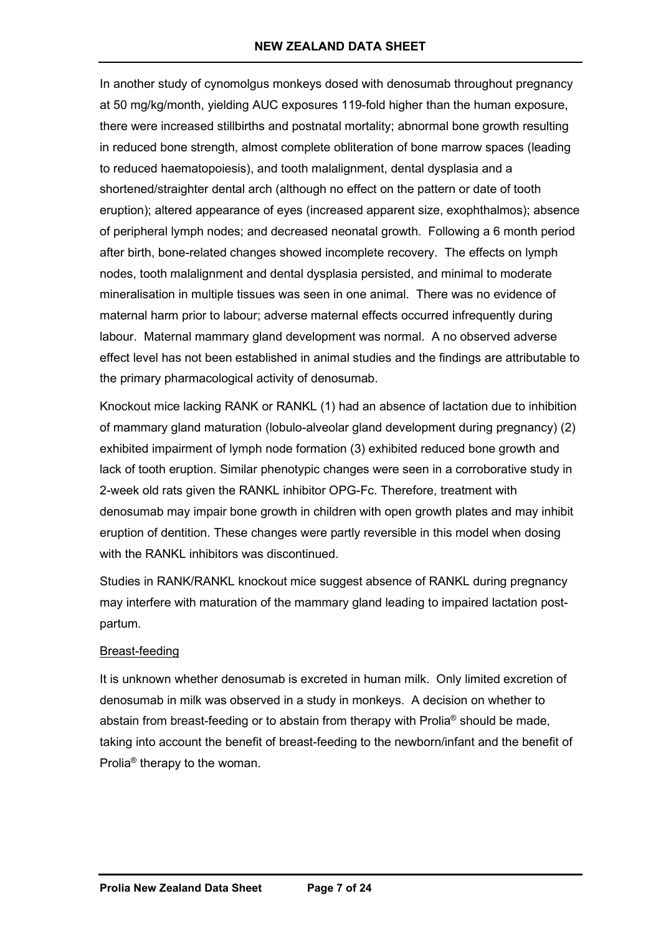In another study of cynomolgus monkeys dosed with denosumab throughout pregnancy at 50 mg/kg/month, yielding AUC exposures 119-fold higher than the human exposure, there were increased stillbirths and postnatal mortality; abnormal bone growth resulting in reduced bone strength, almost complete obliteration of bone marrow spaces (leading to reduced haematopoiesis), and tooth malalignment, dental dysplasia and a shortened/straighter dental arch (although no effect on the pattern or date of tooth eruption); altered appearance of eyes (increased apparent size, exophthalmos); absence of peripheral lymph nodes; and decreased neonatal growth. Following a 6 month period after birth, bone-related changes showed incomplete recovery. The effects on lymph nodes, tooth malalignment and dental dysplasia persisted, and minimal to moderate mineralisation in multiple tissues was seen in one animal. There was no evidence of maternal harm prior to labour; adverse maternal effects occurred infrequently during labour. Maternal mammary gland development was normal. A no observed adverse effect level has not been established in animal studies and the findings are attributable to the primary pharmacological activity of denosumab.

Knockout mice lacking RANK or RANKL (1) had an absence of lactation due to inhibition of mammary gland maturation (lobulo-alveolar gland development during pregnancy) (2) exhibited impairment of lymph node formation (3) exhibited reduced bone growth and lack of tooth eruption. Similar phenotypic changes were seen in a corroborative study in 2-week old rats given the RANKL inhibitor OPG-Fc. Therefore, treatment with denosumab may impair bone growth in children with open growth plates and may inhibit eruption of dentition. These changes were partly reversible in this model when dosing with the RANKL inhibitors was discontinued.

Studies in RANK/RANKL knockout mice suggest absence of RANKL during pregnancy may interfere with maturation of the mammary gland leading to impaired lactation postpartum.

## Breast-feeding

It is unknown whether denosumab is excreted in human milk. Only limited excretion of denosumab in milk was observed in a study in monkeys. A decision on whether to abstain from breast-feeding or to abstain from therapy with Prolia® should be made, taking into account the benefit of breast-feeding to the newborn/infant and the benefit of Prolia® therapy to the woman.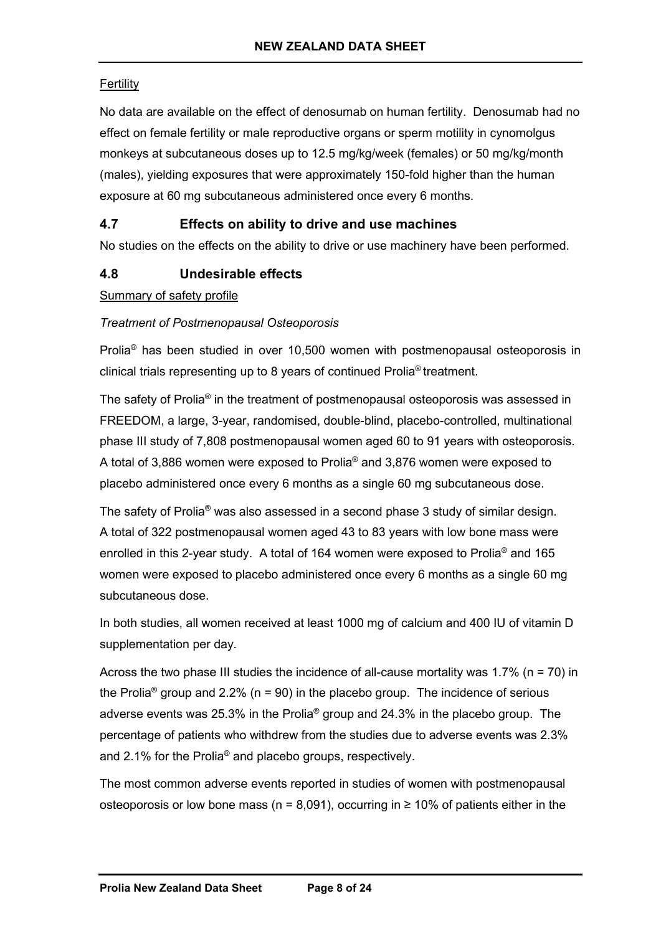# **Fertility**

No data are available on the effect of denosumab on human fertility. Denosumab had no effect on female fertility or male reproductive organs or sperm motility in cynomolgus monkeys at subcutaneous doses up to 12.5 mg/kg/week (females) or 50 mg/kg/month (males), yielding exposures that were approximately 150-fold higher than the human exposure at 60 mg subcutaneous administered once every 6 months.

# **4.7 Effects on ability to drive and use machines**

No studies on the effects on the ability to drive or use machinery have been performed.

# **4.8 Undesirable effects**

Summary of safety profile

## *Treatment of Postmenopausal Osteoporosis*

Prolia® has been studied in over 10,500 women with postmenopausal osteoporosis in clinical trials representing up to 8 years of continued Prolia® treatment.

The safety of Prolia<sup>®</sup> in the treatment of postmenopausal osteoporosis was assessed in FREEDOM, a large, 3-year, randomised, double-blind, placebo-controlled, multinational phase III study of 7,808 postmenopausal women aged 60 to 91 years with osteoporosis. A total of 3,886 women were exposed to Prolia® and 3,876 women were exposed to placebo administered once every 6 months as a single 60 mg subcutaneous dose.

The safety of Prolia® was also assessed in a second phase 3 study of similar design. A total of 322 postmenopausal women aged 43 to 83 years with low bone mass were enrolled in this 2-year study. A total of 164 women were exposed to Prolia® and 165 women were exposed to placebo administered once every 6 months as a single 60 mg subcutaneous dose.

In both studies, all women received at least 1000 mg of calcium and 400 IU of vitamin D supplementation per day.

Across the two phase III studies the incidence of all-cause mortality was 1.7% ( $n = 70$ ) in the Prolia<sup>®</sup> group and 2.2% ( $n = 90$ ) in the placebo group. The incidence of serious adverse events was 25.3% in the Prolia® group and 24.3% in the placebo group. The percentage of patients who withdrew from the studies due to adverse events was 2.3% and 2.1% for the Prolia® and placebo groups, respectively.

The most common adverse events reported in studies of women with postmenopausal osteoporosis or low bone mass ( $n = 8,091$ ), occurring in  $\geq 10\%$  of patients either in the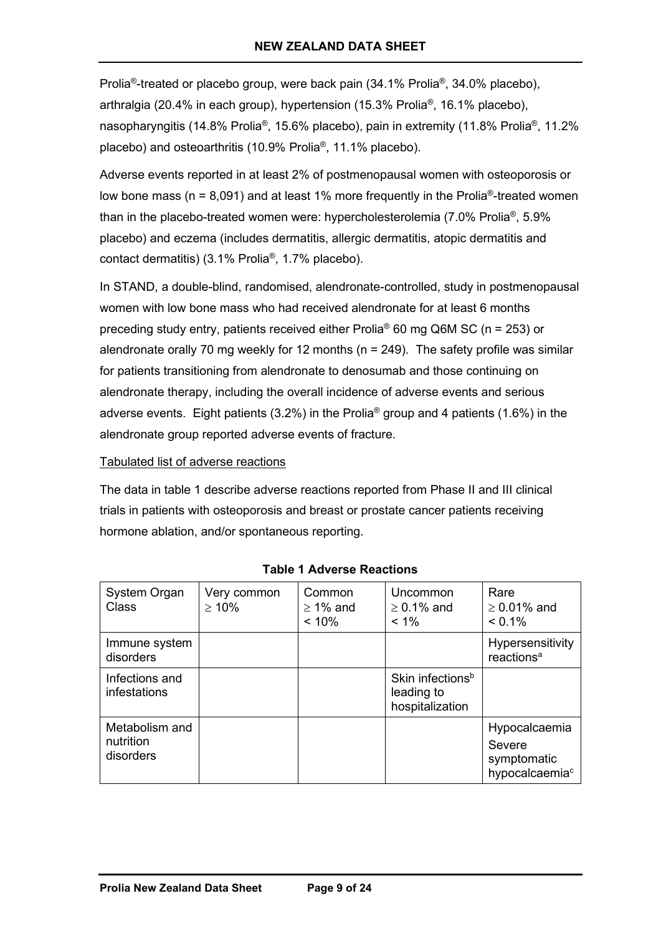Prolia®-treated or placebo group, were back pain (34.1% Prolia®, 34.0% placebo), arthralgia (20.4% in each group), hypertension (15.3% Prolia®, 16.1% placebo), nasopharyngitis (14.8% Prolia<sup>®</sup>, 15.6% placebo), pain in extremity (11.8% Prolia<sup>®</sup>, 11.2% placebo) and osteoarthritis (10.9% Prolia®, 11.1% placebo).

Adverse events reported in at least 2% of postmenopausal women with osteoporosis or low bone mass ( $n = 8,091$ ) and at least 1% more frequently in the Prolia<sup>®</sup>-treated women than in the placebo-treated women were: hypercholesterolemia (7.0% Prolia®, 5.9% placebo) and eczema (includes dermatitis, allergic dermatitis, atopic dermatitis and contact dermatitis) (3.1% Prolia®, 1.7% placebo).

In STAND, a double-blind, randomised, alendronate-controlled, study in postmenopausal women with low bone mass who had received alendronate for at least 6 months preceding study entry, patients received either Prolia® 60 mg Q6M SC (n = 253) or alendronate orally 70 mg weekly for 12 months ( $n = 249$ ). The safety profile was similar for patients transitioning from alendronate to denosumab and those continuing on alendronate therapy, including the overall incidence of adverse events and serious adverse events. Eight patients (3.2%) in the Prolia<sup>®</sup> group and 4 patients (1.6%) in the alendronate group reported adverse events of fracture.

### Tabulated list of adverse reactions

The data in table 1 describe adverse reactions reported from Phase II and III clinical trials in patients with osteoporosis and breast or prostate cancer patients receiving hormone ablation, and/or spontaneous reporting.

| System Organ<br>Class                    | Very common<br>$> 10\%$ | Common<br>$\geq$ 1% and<br>$< 10\%$ | Uncommon<br>$\geq 0.1\%$ and<br>$< 1\%$                       | Rare<br>$\geq 0.01\%$ and<br>$< 0.1\%$                               |
|------------------------------------------|-------------------------|-------------------------------------|---------------------------------------------------------------|----------------------------------------------------------------------|
| Immune system<br>disorders               |                         |                                     |                                                               | Hypersensitivity<br>reactions <sup>a</sup>                           |
| Infections and<br>infestations           |                         |                                     | Skin infections <sup>b</sup><br>leading to<br>hospitalization |                                                                      |
| Metabolism and<br>nutrition<br>disorders |                         |                                     |                                                               | Hypocalcaemia<br>Severe<br>symptomatic<br>hypocalcaemia <sup>c</sup> |

**Table 1 Adverse Reactions**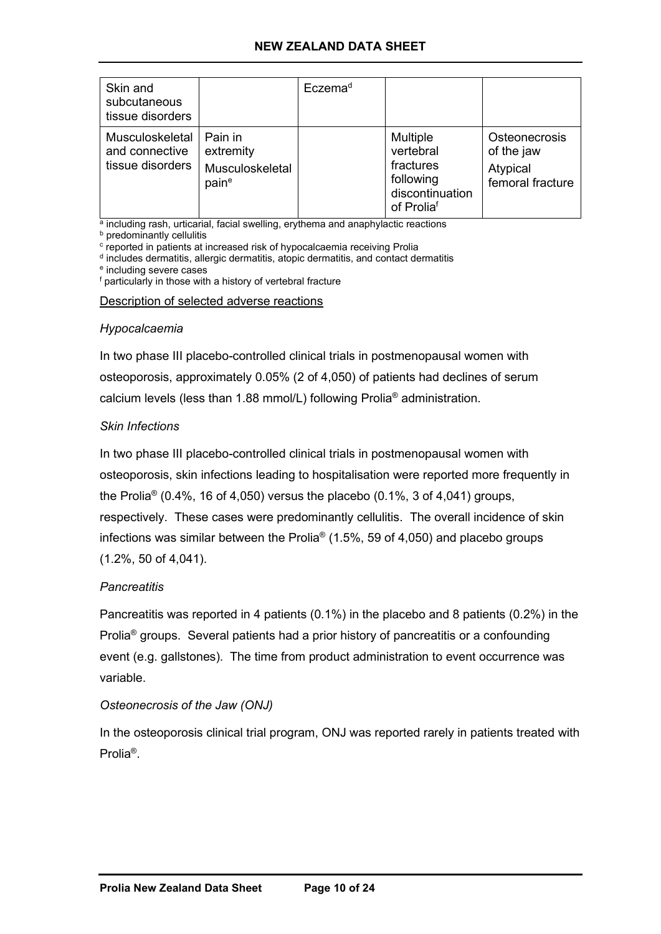# **NEW ZEALAND DATA SHEET**

| Skin and<br>subcutaneous<br>tissue disorders          |                                                  | Eczema <sup>d</sup> |                                                                                         |                                                             |
|-------------------------------------------------------|--------------------------------------------------|---------------------|-----------------------------------------------------------------------------------------|-------------------------------------------------------------|
| Musculoskeletal<br>and connective<br>tissue disorders | Pain in<br>extremity<br>Musculoskeletal<br>paine |                     | <b>Multiple</b><br>vertebral<br>fractures<br>following<br>discontinuation<br>of Proliaf | Osteonecrosis<br>of the jaw<br>Atypical<br>femoral fracture |

a including rash, urticarial, facial swelling, erythema and anaphylactic reactions

**b** predominantly cellulitis

<sup>c</sup> reported in patients at increased risk of hypocalcaemia receiving Prolia

<sup>d</sup> includes dermatitis, allergic dermatitis, atopic dermatitis, and contact dermatitis

<sup>e</sup> including severe cases

<sup>f</sup> particularly in those with a history of vertebral fracture

Description of selected adverse reactions

#### *Hypocalcaemia*

In two phase III placebo-controlled clinical trials in postmenopausal women with osteoporosis, approximately 0.05% (2 of 4,050) of patients had declines of serum calcium levels (less than 1.88 mmol/L) following Prolia® administration.

### *Skin Infections*

In two phase III placebo-controlled clinical trials in postmenopausal women with osteoporosis, skin infections leading to hospitalisation were reported more frequently in the Prolia<sup>®</sup> (0.4%, 16 of 4,050) versus the placebo (0.1%, 3 of 4,041) groups, respectively. These cases were predominantly cellulitis. The overall incidence of skin infections was similar between the Prolia<sup>®</sup> (1.5%, 59 of 4,050) and placebo groups (1.2%, 50 of 4,041).

### *Pancreatitis*

Pancreatitis was reported in 4 patients (0.1%) in the placebo and 8 patients (0.2%) in the Prolia<sup>®</sup> groups. Several patients had a prior history of pancreatitis or a confounding event (e.g. gallstones). The time from product administration to event occurrence was variable.

### *Osteonecrosis of the Jaw (ONJ)*

In the osteoporosis clinical trial program, ONJ was reported rarely in patients treated with Prolia®.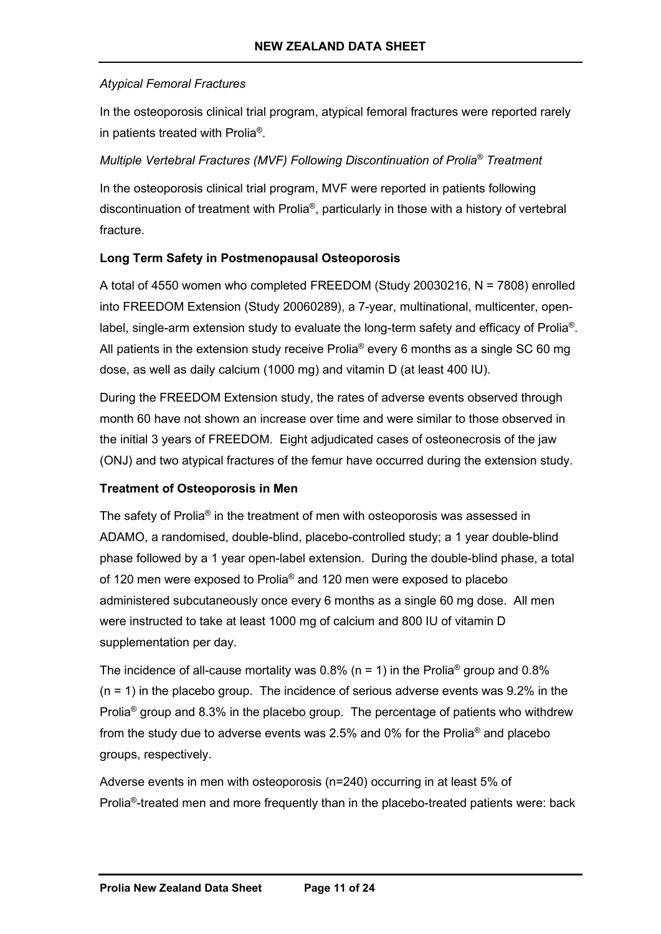# *Atypical Femoral Fractures*

In the osteoporosis clinical trial program, atypical femoral fractures were reported rarely in patients treated with Prolia®.

## *Multiple Vertebral Fractures (MVF) Following Discontinuation of Prolia® Treatment*

In the osteoporosis clinical trial program, MVF were reported in patients following discontinuation of treatment with Prolia®, particularly in those with a history of vertebral fracture.

# **Long Term Safety in Postmenopausal Osteoporosis**

A total of 4550 women who completed FREEDOM (Study 20030216, N = 7808) enrolled into FREEDOM Extension (Study 20060289), a 7-year, multinational, multicenter, openlabel, single-arm extension study to evaluate the long-term safety and efficacy of Prolia®. All patients in the extension study receive Prolia<sup>®</sup> every 6 months as a single SC 60 mg dose, as well as daily calcium (1000 mg) and vitamin D (at least 400 IU).

During the FREEDOM Extension study, the rates of adverse events observed through month 60 have not shown an increase over time and were similar to those observed in the initial 3 years of FREEDOM. Eight adjudicated cases of osteonecrosis of the jaw (ONJ) and two atypical fractures of the femur have occurred during the extension study.

## **Treatment of Osteoporosis in Men**

The safety of Prolia® in the treatment of men with osteoporosis was assessed in ADAMO, a randomised, double-blind, placebo-controlled study; a 1 year double-blind phase followed by a 1 year open-label extension. During the double-blind phase, a total of 120 men were exposed to Prolia® and 120 men were exposed to placebo administered subcutaneously once every 6 months as a single 60 mg dose. All men were instructed to take at least 1000 mg of calcium and 800 IU of vitamin D supplementation per day.

The incidence of all-cause mortality was 0.8% (n = 1) in the Prolia<sup>®</sup> group and 0.8%  $(n = 1)$  in the placebo group. The incidence of serious adverse events was 9.2% in the Prolia<sup>®</sup> group and 8.3% in the placebo group. The percentage of patients who withdrew from the study due to adverse events was 2.5% and 0% for the Prolia® and placebo groups, respectively.

Adverse events in men with osteoporosis (n=240) occurring in at least 5% of Prolia®-treated men and more frequently than in the placebo-treated patients were: back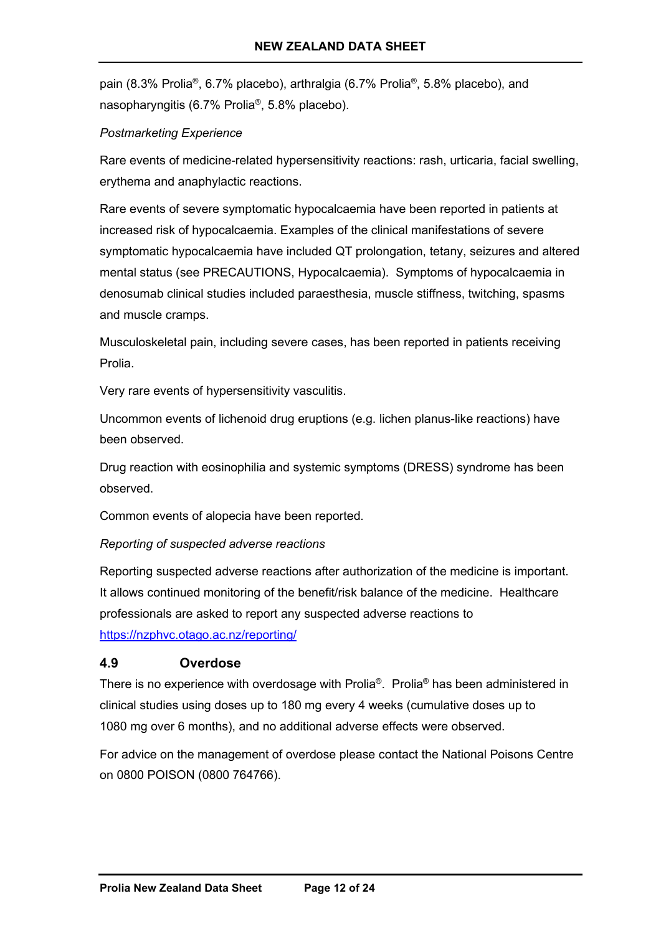pain (8.3% Prolia®, 6.7% placebo), arthralgia (6.7% Prolia®, 5.8% placebo), and nasopharyngitis (6.7% Prolia®, 5.8% placebo).

## *Postmarketing Experience*

Rare events of medicine-related hypersensitivity reactions: rash, urticaria, facial swelling, erythema and anaphylactic reactions.

Rare events of severe symptomatic hypocalcaemia have been reported in patients at increased risk of hypocalcaemia. Examples of the clinical manifestations of severe symptomatic hypocalcaemia have included QT prolongation, tetany, seizures and altered mental status (see PRECAUTIONS, Hypocalcaemia). Symptoms of hypocalcaemia in denosumab clinical studies included paraesthesia, muscle stiffness, twitching, spasms and muscle cramps.

Musculoskeletal pain, including severe cases, has been reported in patients receiving Prolia.

Very rare events of hypersensitivity vasculitis.

Uncommon events of lichenoid drug eruptions (e.g. lichen planus-like reactions) have been observed.

Drug reaction with eosinophilia and systemic symptoms (DRESS) syndrome has been observed.

Common events of alopecia have been reported.

*Reporting of suspected adverse reactions*

Reporting suspected adverse reactions after authorization of the medicine is important. It allows continued monitoring of the benefit/risk balance of the medicine. Healthcare professionals are asked to report any suspected adverse reactions to <https://nzphvc.otago.ac.nz/reporting/>

## **4.9 Overdose**

There is no experience with overdosage with Prolia®. Prolia® has been administered in clinical studies using doses up to 180 mg every 4 weeks (cumulative doses up to 1080 mg over 6 months), and no additional adverse effects were observed.

For advice on the management of overdose please contact the National Poisons Centre on 0800 POISON (0800 764766).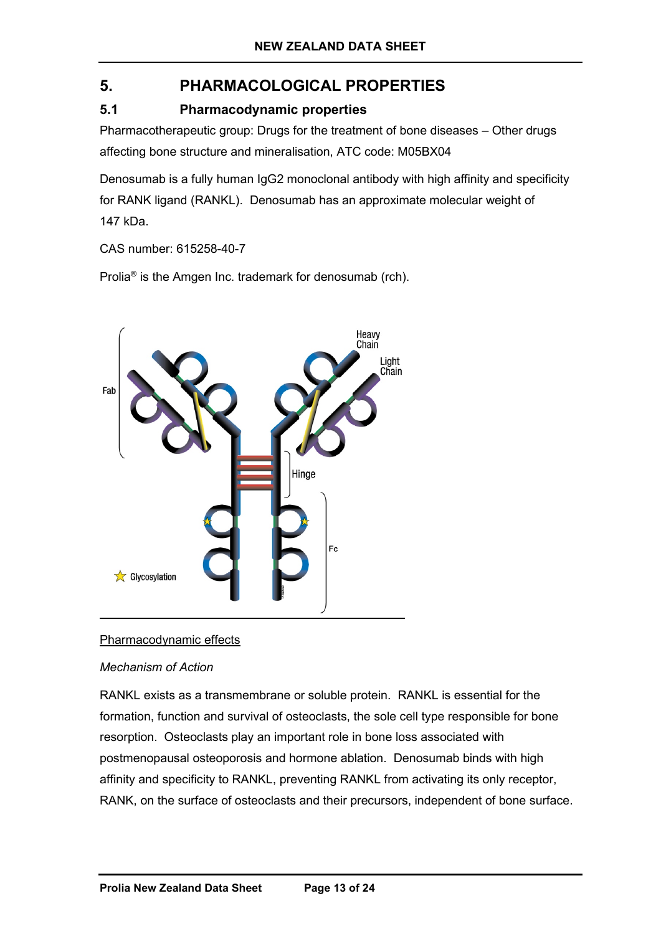# **5. PHARMACOLOGICAL PROPERTIES**

# **5.1 Pharmacodynamic properties**

Pharmacotherapeutic group: Drugs for the treatment of bone diseases – Other drugs affecting bone structure and mineralisation, ATC code: M05BX04

Denosumab is a fully human IgG2 monoclonal antibody with high affinity and specificity for RANK ligand (RANKL). Denosumab has an approximate molecular weight of 147 kDa.

CAS number: 615258-40-7

Prolia® is the Amgen Inc. trademark for denosumab (rch).



## Pharmacodynamic effects

## *Mechanism of Action*

RANKL exists as a transmembrane or soluble protein. RANKL is essential for the formation, function and survival of osteoclasts, the sole cell type responsible for bone resorption. Osteoclasts play an important role in bone loss associated with postmenopausal osteoporosis and hormone ablation. Denosumab binds with high affinity and specificity to RANKL, preventing RANKL from activating its only receptor, RANK, on the surface of osteoclasts and their precursors, independent of bone surface.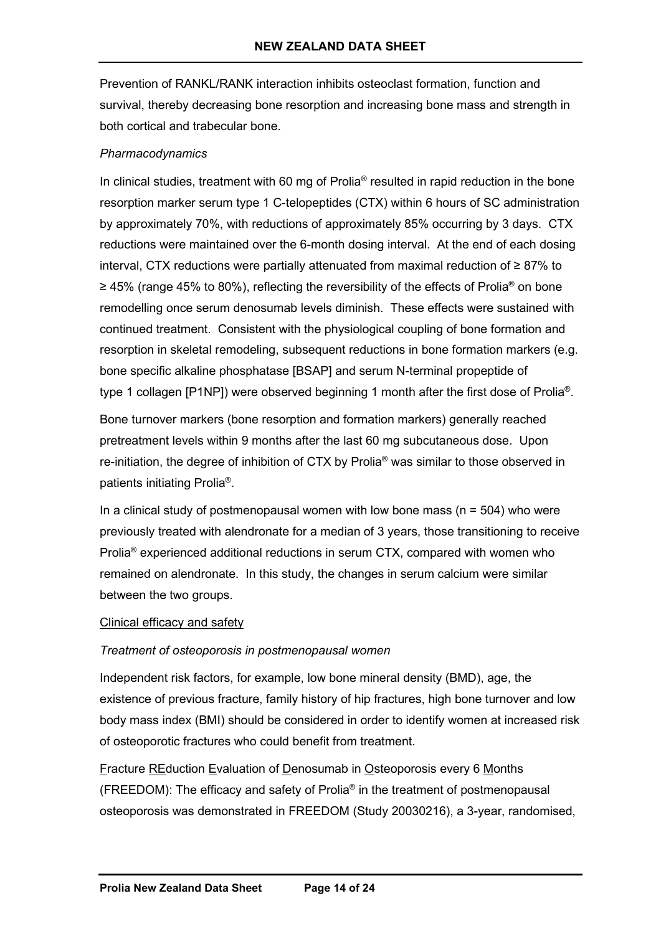Prevention of RANKL/RANK interaction inhibits osteoclast formation, function and survival, thereby decreasing bone resorption and increasing bone mass and strength in both cortical and trabecular bone.

### *Pharmacodynamics*

In clinical studies, treatment with 60 mg of Prolia<sup>®</sup> resulted in rapid reduction in the bone resorption marker serum type 1 C-telopeptides (CTX) within 6 hours of SC administration by approximately 70%, with reductions of approximately 85% occurring by 3 days. CTX reductions were maintained over the 6-month dosing interval. At the end of each dosing interval, CTX reductions were partially attenuated from maximal reduction of ≥ 87% to ≥ 45% (range 45% to 80%), reflecting the reversibility of the effects of Prolia® on bone remodelling once serum denosumab levels diminish. These effects were sustained with continued treatment. Consistent with the physiological coupling of bone formation and resorption in skeletal remodeling, subsequent reductions in bone formation markers (e.g. bone specific alkaline phosphatase [BSAP] and serum N-terminal propeptide of type 1 collagen [P1NP]) were observed beginning 1 month after the first dose of Prolia<sup>®</sup>.

Bone turnover markers (bone resorption and formation markers) generally reached pretreatment levels within 9 months after the last 60 mg subcutaneous dose. Upon re-initiation, the degree of inhibition of CTX by Prolia® was similar to those observed in patients initiating Prolia®.

In a clinical study of postmenopausal women with low bone mass ( $n = 504$ ) who were previously treated with alendronate for a median of 3 years, those transitioning to receive Prolia® experienced additional reductions in serum CTX, compared with women who remained on alendronate. In this study, the changes in serum calcium were similar between the two groups.

### Clinical efficacy and safety

## *Treatment of osteoporosis in postmenopausal women*

Independent risk factors, for example, low bone mineral density (BMD), age, the existence of previous fracture, family history of hip fractures, high bone turnover and low body mass index (BMI) should be considered in order to identify women at increased risk of osteoporotic fractures who could benefit from treatment.

Fracture REduction Evaluation of Denosumab in Osteoporosis every 6 Months (FREEDOM): The efficacy and safety of Prolia® in the treatment of postmenopausal osteoporosis was demonstrated in FREEDOM (Study 20030216), a 3-year, randomised,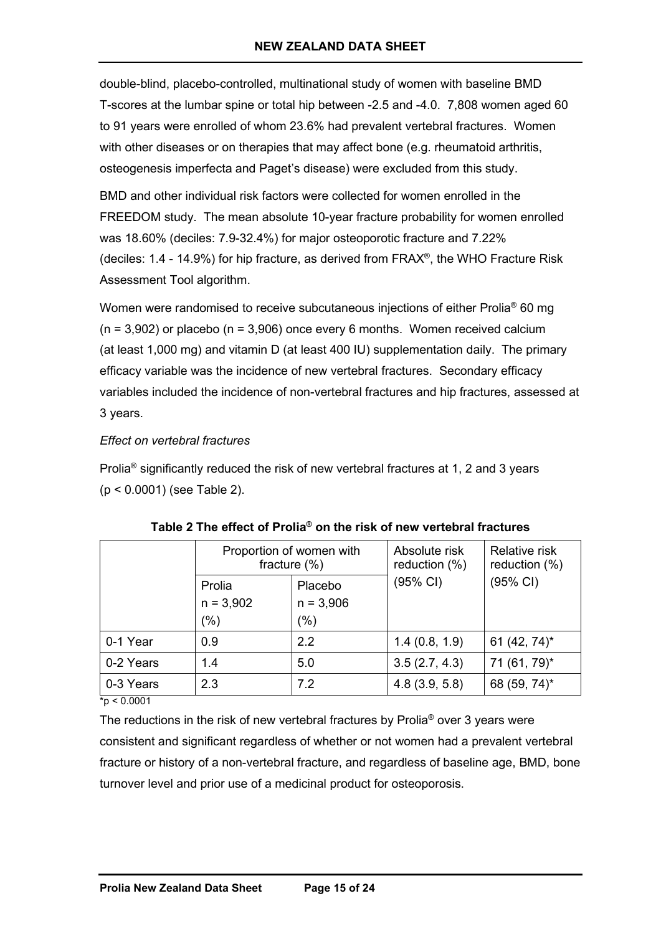double-blind, placebo-controlled, multinational study of women with baseline BMD T-scores at the lumbar spine or total hip between -2.5 and -4.0. 7,808 women aged 60 to 91 years were enrolled of whom 23.6% had prevalent vertebral fractures. Women with other diseases or on therapies that may affect bone (e.g. rheumatoid arthritis, osteogenesis imperfecta and Paget's disease) were excluded from this study.

BMD and other individual risk factors were collected for women enrolled in the FREEDOM study. The mean absolute 10-year fracture probability for women enrolled was 18.60% (deciles: 7.9-32.4%) for major osteoporotic fracture and 7.22% (deciles:  $1.4$  -  $14.9\%$ ) for hip fracture, as derived from FRAX<sup>®</sup>, the WHO Fracture Risk Assessment Tool algorithm.

Women were randomised to receive subcutaneous injections of either Prolia<sup>®</sup> 60 mg  $(n = 3,902)$  or placebo  $(n = 3,906)$  once every 6 months. Women received calcium (at least 1,000 mg) and vitamin D (at least 400 IU) supplementation daily. The primary efficacy variable was the incidence of new vertebral fractures. Secondary efficacy variables included the incidence of non-vertebral fractures and hip fractures, assessed at 3 years.

### *Effect on vertebral fractures*

Prolia<sup>®</sup> significantly reduced the risk of new vertebral fractures at 1, 2 and 3 years (p < 0.0001) (see Table 2).

|           | Proportion of women with<br>fracture $(\%)$ |             | Absolute risk<br>reduction (%) | <b>Relative risk</b><br>reduction $(\%)$ |
|-----------|---------------------------------------------|-------------|--------------------------------|------------------------------------------|
|           | Prolia                                      | Placebo     | (95% CI)                       | (95% CI)                                 |
|           | $n = 3,902$                                 | $n = 3,906$ |                                |                                          |
|           | $(\% )$                                     | (%)         |                                |                                          |
| 0-1 Year  | 0.9                                         | 2.2         | 1.4(0.8, 1.9)                  | 61 $(42, 74)^*$                          |
| 0-2 Years | 1.4                                         | 5.0         | 3.5(2.7, 4.3)                  | 71 (61, 79)*                             |
| 0-3 Years | 2.3                                         | 7.2         | 4.8(3.9, 5.8)                  | 68 (59, 74)*                             |

 $\frac{1}{2}$   $\frac{1}{2}$   $\frac{1}{2}$   $\frac{1}{2}$   $\frac{1}{2}$   $\frac{1}{2}$   $\frac{1}{2}$   $\frac{1}{2}$   $\frac{1}{2}$   $\frac{1}{2}$   $\frac{1}{2}$   $\frac{1}{2}$   $\frac{1}{2}$   $\frac{1}{2}$   $\frac{1}{2}$   $\frac{1}{2}$   $\frac{1}{2}$   $\frac{1}{2}$   $\frac{1}{2}$   $\frac{1}{2}$   $\frac{1}{2}$   $\frac{1}{2}$ 

The reductions in the risk of new vertebral fractures by Prolia® over 3 years were consistent and significant regardless of whether or not women had a prevalent vertebral fracture or history of a non-vertebral fracture, and regardless of baseline age, BMD, bone turnover level and prior use of a medicinal product for osteoporosis.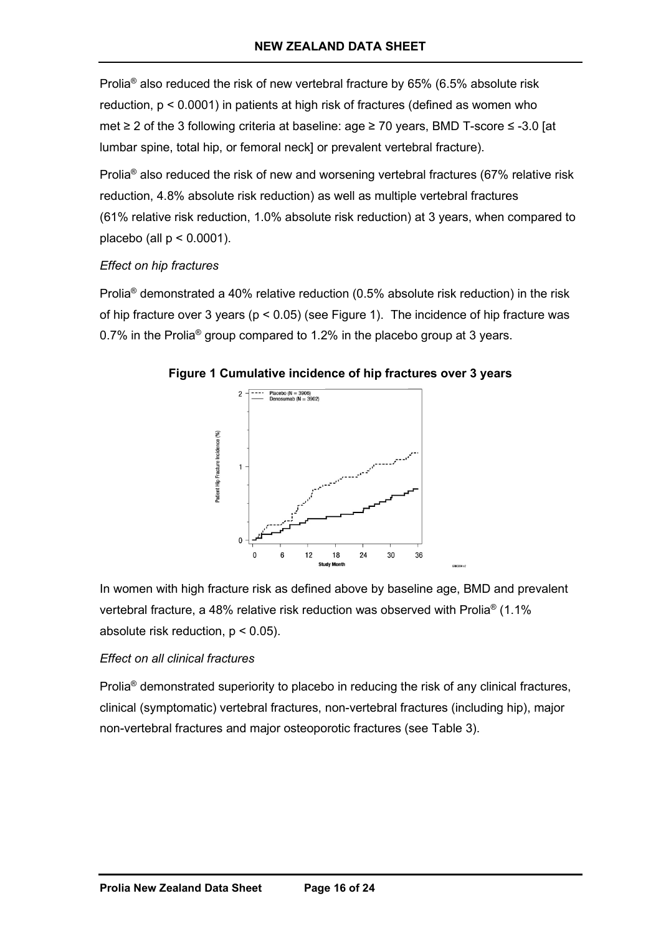Prolia® also reduced the risk of new vertebral fracture by 65% (6.5% absolute risk reduction, p < 0.0001) in patients at high risk of fractures (defined as women who met ≥ 2 of the 3 following criteria at baseline: age ≥ 70 years, BMD T-score ≤ -3.0 [at lumbar spine, total hip, or femoral neck] or prevalent vertebral fracture).

Prolia® also reduced the risk of new and worsening vertebral fractures (67% relative risk reduction, 4.8% absolute risk reduction) as well as multiple vertebral fractures (61% relative risk reduction, 1.0% absolute risk reduction) at 3 years, when compared to placebo (all  $p < 0.0001$ ).

### *Effect on hip fractures*

Prolia® demonstrated a 40% relative reduction (0.5% absolute risk reduction) in the risk of hip fracture over 3 years ( $p < 0.05$ ) (see Figure 1). The incidence of hip fracture was 0.7% in the Prolia® group compared to 1.2% in the placebo group at 3 years.



## **Figure 1 Cumulative incidence of hip fractures over 3 years**

In women with high fracture risk as defined above by baseline age, BMD and prevalent vertebral fracture, a 48% relative risk reduction was observed with Prolia® (1.1% absolute risk reduction, p < 0.05).

## *Effect on all clinical fractures*

Prolia<sup>®</sup> demonstrated superiority to placebo in reducing the risk of any clinical fractures, clinical (symptomatic) vertebral fractures, non-vertebral fractures (including hip), major non-vertebral fractures and major osteoporotic fractures (see Table 3).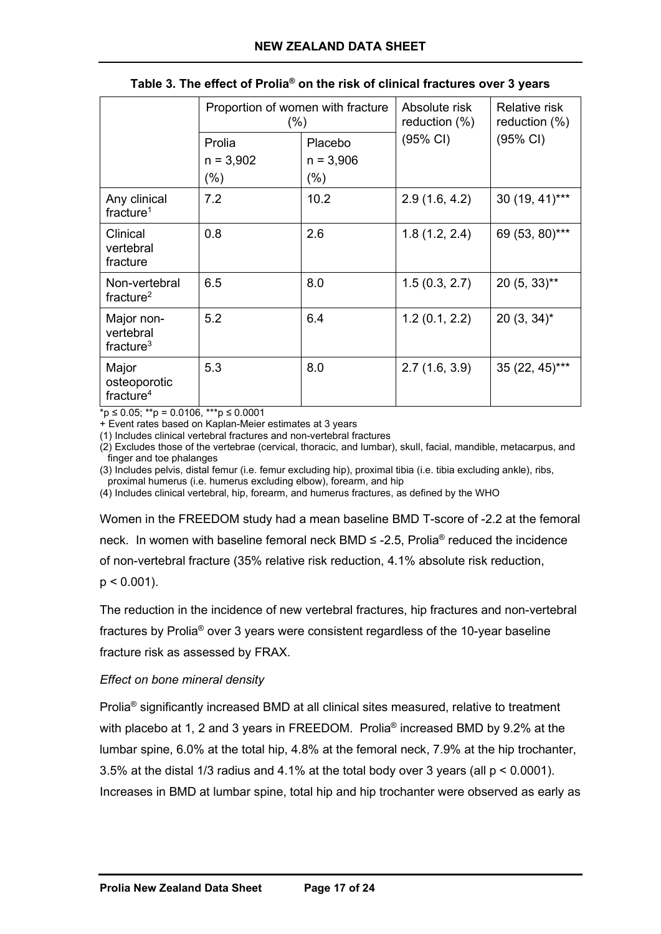|                                                | Proportion of women with fracture<br>(%) |                                  | Absolute risk<br>reduction $(\%)$ | Relative risk<br>reduction (%) |
|------------------------------------------------|------------------------------------------|----------------------------------|-----------------------------------|--------------------------------|
|                                                | Prolia<br>$n = 3,902$<br>$(\% )$         | Placebo<br>$n = 3,906$<br>$(\%)$ | (95% CI)                          | (95% CI)                       |
| Any clinical<br>fracture <sup>1</sup>          | 7.2                                      | 10.2                             | 2.9(1.6, 4.2)                     | 30 (19, 41)***                 |
| Clinical<br>vertebral<br>fracture              | 0.8                                      | 2.6                              | 1.8(1.2, 2.4)                     | 69 (53, 80)***                 |
| Non-vertebral<br>fracture <sup>2</sup>         | 6.5                                      | 8.0                              | 1.5(0.3, 2.7)                     | $20(5, 33)$ **                 |
| Major non-<br>vertebral<br>fracture $3$        | 5.2                                      | 6.4                              | 1.2(0.1, 2.2)                     | $20(3, 34)^{*}$                |
| Major<br>osteoporotic<br>fracture <sup>4</sup> | 5.3                                      | 8.0                              | 2.7(1.6, 3.9)                     | 35 (22, 45)***                 |

#### **Table 3. The effect of Prolia® on the risk of clinical fractures over 3 years**

 $*_{p} \le 0.05$ ; \*\*p = 0.0106, \*\*\*p  $\le 0.0001$ 

+ Event rates based on Kaplan-Meier estimates at 3 years

(1) Includes clinical vertebral fractures and non-vertebral fractures

(2) Excludes those of the vertebrae (cervical, thoracic, and lumbar), skull, facial, mandible, metacarpus, and finger and toe phalanges

(3) Includes pelvis, distal femur (i.e. femur excluding hip), proximal tibia (i.e. tibia excluding ankle), ribs, proximal humerus (i.e. humerus excluding elbow), forearm, and hip

(4) Includes clinical vertebral, hip, forearm, and humerus fractures, as defined by the WHO

Women in the FREEDOM study had a mean baseline BMD T-score of -2.2 at the femoral neck. In women with baseline femoral neck BMD  $\leq$  -2.5, Prolia<sup>®</sup> reduced the incidence of non-vertebral fracture (35% relative risk reduction, 4.1% absolute risk reduction,  $p < 0.001$ ).

The reduction in the incidence of new vertebral fractures, hip fractures and non-vertebral fractures by Prolia® over 3 years were consistent regardless of the 10-year baseline fracture risk as assessed by FRAX.

### *Effect on bone mineral density*

Prolia® significantly increased BMD at all clinical sites measured, relative to treatment with placebo at 1, 2 and 3 years in FREEDOM. Prolia<sup>®</sup> increased BMD by 9.2% at the lumbar spine, 6.0% at the total hip, 4.8% at the femoral neck, 7.9% at the hip trochanter, 3.5% at the distal 1/3 radius and 4.1% at the total body over 3 years (all p < 0.0001). Increases in BMD at lumbar spine, total hip and hip trochanter were observed as early as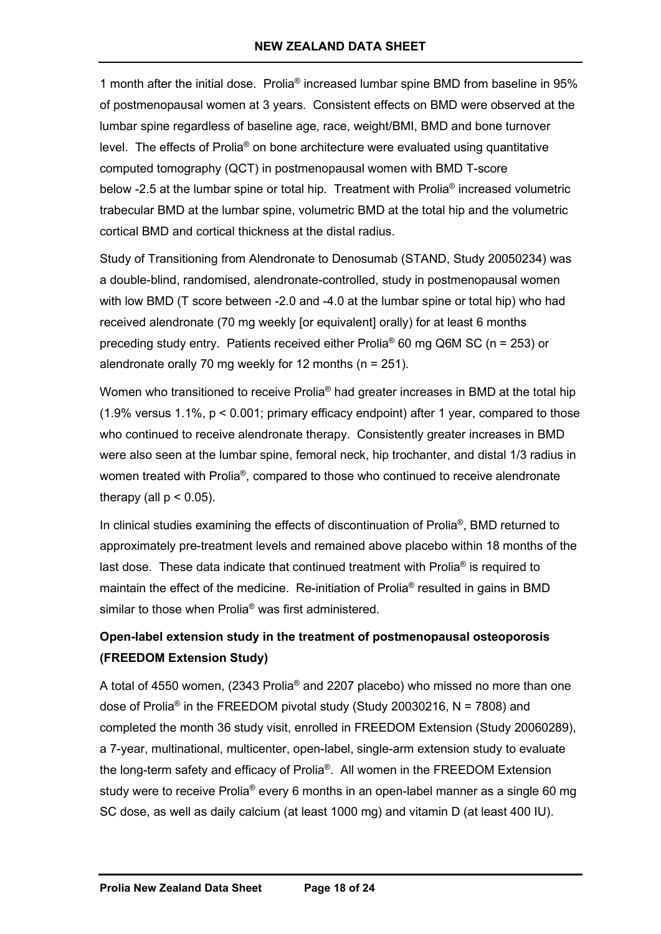1 month after the initial dose. Prolia® increased lumbar spine BMD from baseline in 95% of postmenopausal women at 3 years. Consistent effects on BMD were observed at the lumbar spine regardless of baseline age, race, weight/BMI, BMD and bone turnover level. The effects of Prolia® on bone architecture were evaluated using quantitative computed tomography (QCT) in postmenopausal women with BMD T-score below -2.5 at the lumbar spine or total hip. Treatment with Prolia<sup>®</sup> increased volumetric trabecular BMD at the lumbar spine, volumetric BMD at the total hip and the volumetric cortical BMD and cortical thickness at the distal radius.

Study of Transitioning from Alendronate to Denosumab (STAND, Study 20050234) was a double-blind, randomised, alendronate-controlled, study in postmenopausal women with low BMD (T score between -2.0 and -4.0 at the lumbar spine or total hip) who had received alendronate (70 mg weekly [or equivalent] orally) for at least 6 months preceding study entry. Patients received either Prolia® 60 mg Q6M SC (n = 253) or alendronate orally 70 mg weekly for 12 months (n = 251).

Women who transitioned to receive Prolia<sup>®</sup> had greater increases in BMD at the total hip  $(1.9\%$  versus  $1.1\%$ ,  $p < 0.001$ ; primary efficacy endpoint) after 1 year, compared to those who continued to receive alendronate therapy. Consistently greater increases in BMD were also seen at the lumbar spine, femoral neck, hip trochanter, and distal 1/3 radius in women treated with Prolia®, compared to those who continued to receive alendronate therapy (all  $p < 0.05$ ).

In clinical studies examining the effects of discontinuation of Prolia<sup>®</sup>, BMD returned to approximately pre-treatment levels and remained above placebo within 18 months of the last dose. These data indicate that continued treatment with Prolia<sup>®</sup> is required to maintain the effect of the medicine. Re-initiation of Prolia<sup>®</sup> resulted in gains in BMD similar to those when Prolia® was first administered.

# **Open-label extension study in the treatment of postmenopausal osteoporosis (FREEDOM Extension Study)**

A total of 4550 women, (2343 Prolia® and 2207 placebo) who missed no more than one dose of Prolia<sup>®</sup> in the FREEDOM pivotal study (Study 20030216,  $N = 7808$ ) and completed the month 36 study visit, enrolled in FREEDOM Extension (Study 20060289), a 7-year, multinational, multicenter, open-label, single-arm extension study to evaluate the long-term safety and efficacy of Prolia®. All women in the FREEDOM Extension study were to receive Prolia® every 6 months in an open-label manner as a single 60 mg SC dose, as well as daily calcium (at least 1000 mg) and vitamin D (at least 400 IU).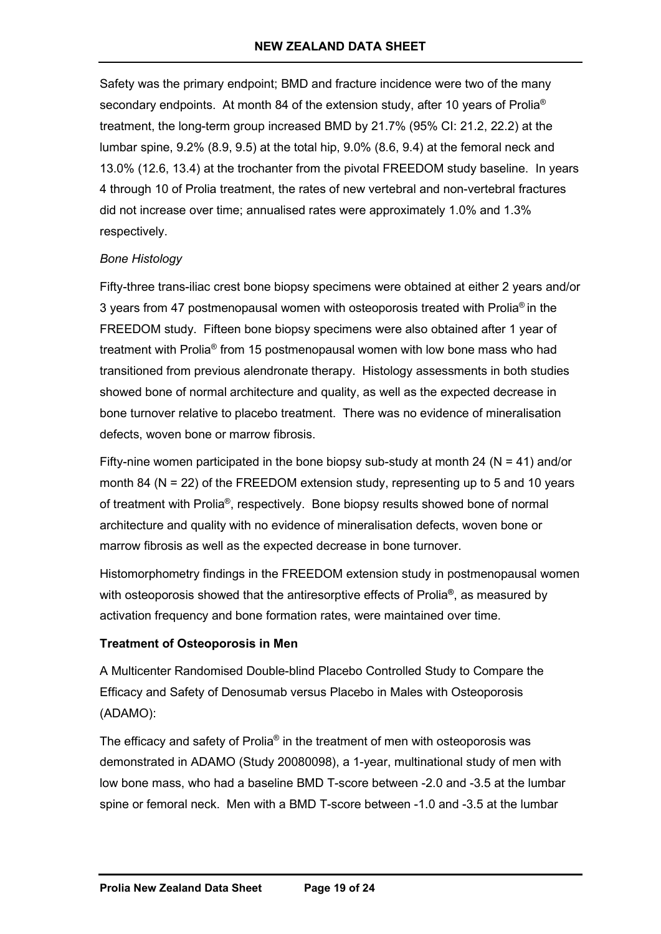Safety was the primary endpoint; BMD and fracture incidence were two of the many secondary endpoints. At month 84 of the extension study, after 10 years of Prolia<sup>®</sup> treatment, the long-term group increased BMD by 21.7% (95% CI: 21.2, 22.2) at the lumbar spine, 9.2% (8.9, 9.5) at the total hip, 9.0% (8.6, 9.4) at the femoral neck and 13.0% (12.6, 13.4) at the trochanter from the pivotal FREEDOM study baseline. In years 4 through 10 of Prolia treatment, the rates of new vertebral and non-vertebral fractures did not increase over time; annualised rates were approximately 1.0% and 1.3% respectively.

### *Bone Histology*

Fifty-three trans-iliac crest bone biopsy specimens were obtained at either 2 years and/or 3 years from 47 postmenopausal women with osteoporosis treated with Prolia® in the FREEDOM study. Fifteen bone biopsy specimens were also obtained after 1 year of treatment with Prolia® from 15 postmenopausal women with low bone mass who had transitioned from previous alendronate therapy. Histology assessments in both studies showed bone of normal architecture and quality, as well as the expected decrease in bone turnover relative to placebo treatment. There was no evidence of mineralisation defects, woven bone or marrow fibrosis.

Fifty-nine women participated in the bone biopsy sub-study at month 24 ( $N = 41$ ) and/or month 84 ( $N = 22$ ) of the FREEDOM extension study, representing up to 5 and 10 years of treatment with Prolia®, respectively. Bone biopsy results showed bone of normal architecture and quality with no evidence of mineralisation defects, woven bone or marrow fibrosis as well as the expected decrease in bone turnover.

Histomorphometry findings in the FREEDOM extension study in postmenopausal women with osteoporosis showed that the antiresorptive effects of Prolia**®**, as measured by activation frequency and bone formation rates, were maintained over time.

### **Treatment of Osteoporosis in Men**

A Multicenter Randomised Double-blind Placebo Controlled Study to Compare the Efficacy and Safety of Denosumab versus Placebo in Males with Osteoporosis (ADAMO):

The efficacy and safety of Prolia® in the treatment of men with osteoporosis was demonstrated in ADAMO (Study 20080098), a 1-year, multinational study of men with low bone mass, who had a baseline BMD T-score between -2.0 and -3.5 at the lumbar spine or femoral neck. Men with a BMD T-score between -1.0 and -3.5 at the lumbar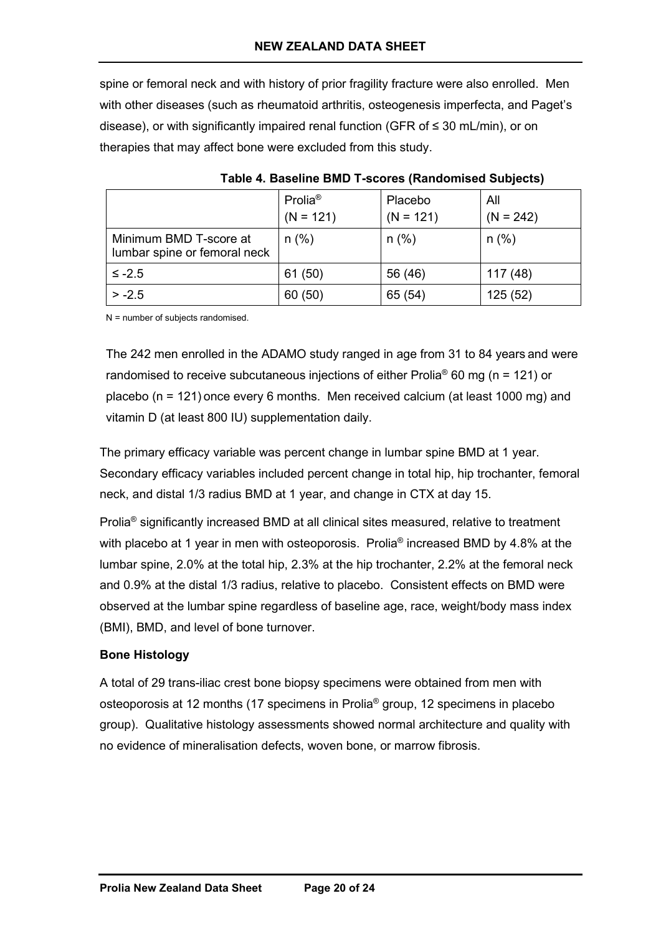spine or femoral neck and with history of prior fragility fracture were also enrolled. Men with other diseases (such as rheumatoid arthritis, osteogenesis imperfecta, and Paget's disease), or with significantly impaired renal function (GFR of ≤ 30 mL/min), or on therapies that may affect bone were excluded from this study.

|                                                        | Prolia <sup>®</sup><br>$(N = 121)$ | Placebo<br>$(N = 121)$ | All<br>$(N = 242)$ |
|--------------------------------------------------------|------------------------------------|------------------------|--------------------|
| Minimum BMD T-score at<br>lumbar spine or femoral neck | $n$ (%)                            | $n$ (%)                | $n$ (%)            |
| $\leq -2.5$                                            | 61(50)                             | 56 (46)                | 117(48)            |
| $> -2.5$                                               | 60 (50)                            | 65 (54)                | 125(52)            |

**Table 4. Baseline BMD T-scores (Randomised Subjects)**

N = number of subjects randomised.

The 242 men enrolled in the ADAMO study ranged in age from 31 to 84 years and were randomised to receive subcutaneous injections of either Prolia<sup>®</sup> 60 mg (n = 121) or placebo (n = 121) once every 6 months. Men received calcium (at least 1000 mg) and vitamin D (at least 800 IU) supplementation daily.

The primary efficacy variable was percent change in lumbar spine BMD at 1 year. Secondary efficacy variables included percent change in total hip, hip trochanter, femoral neck, and distal 1/3 radius BMD at 1 year, and change in CTX at day 15.

Prolia® significantly increased BMD at all clinical sites measured, relative to treatment with placebo at 1 year in men with osteoporosis. Prolia<sup>®</sup> increased BMD by 4.8% at the lumbar spine, 2.0% at the total hip, 2.3% at the hip trochanter, 2.2% at the femoral neck and 0.9% at the distal 1/3 radius, relative to placebo. Consistent effects on BMD were observed at the lumbar spine regardless of baseline age, race, weight/body mass index (BMI), BMD, and level of bone turnover.

## **Bone Histology**

A total of 29 trans-iliac crest bone biopsy specimens were obtained from men with osteoporosis at 12 months (17 specimens in Prolia® group, 12 specimens in placebo group). Qualitative histology assessments showed normal architecture and quality with no evidence of mineralisation defects, woven bone, or marrow fibrosis.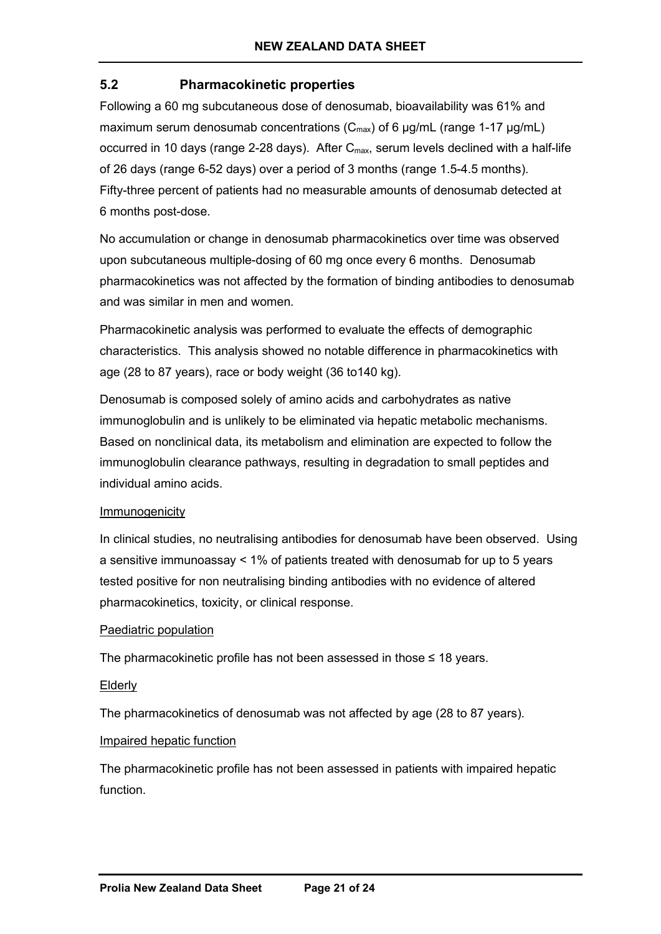# **5.2 Pharmacokinetic properties**

Following a 60 mg subcutaneous dose of denosumab, bioavailability was 61% and maximum serum denosumab concentrations  $(C_{\text{max}})$  of 6  $\mu$ g/mL (range 1-17  $\mu$ g/mL) occurred in 10 days (range 2-28 days). After C<sub>max</sub>, serum levels declined with a half-life of 26 days (range 6-52 days) over a period of 3 months (range 1.5-4.5 months). Fifty-three percent of patients had no measurable amounts of denosumab detected at 6 months post-dose.

No accumulation or change in denosumab pharmacokinetics over time was observed upon subcutaneous multiple-dosing of 60 mg once every 6 months. Denosumab pharmacokinetics was not affected by the formation of binding antibodies to denosumab and was similar in men and women.

Pharmacokinetic analysis was performed to evaluate the effects of demographic characteristics. This analysis showed no notable difference in pharmacokinetics with age (28 to 87 years), race or body weight (36 to140 kg).

Denosumab is composed solely of amino acids and carbohydrates as native immunoglobulin and is unlikely to be eliminated via hepatic metabolic mechanisms. Based on nonclinical data, its metabolism and elimination are expected to follow the immunoglobulin clearance pathways, resulting in degradation to small peptides and individual amino acids.

### Immunogenicity

In clinical studies, no neutralising antibodies for denosumab have been observed. Using a sensitive immunoassay < 1% of patients treated with denosumab for up to 5 years tested positive for non neutralising binding antibodies with no evidence of altered pharmacokinetics, toxicity, or clinical response.

### Paediatric population

The pharmacokinetic profile has not been assessed in those  $\leq 18$  years.

### Elderly

The pharmacokinetics of denosumab was not affected by age (28 to 87 years).

#### Impaired hepatic function

The pharmacokinetic profile has not been assessed in patients with impaired hepatic function.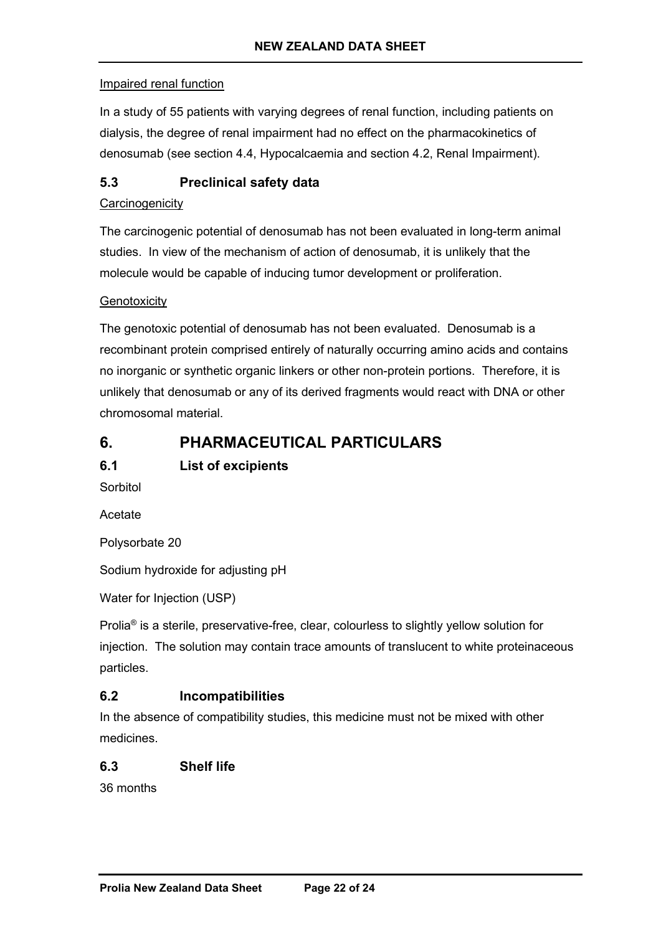### Impaired renal function

In a study of 55 patients with varying degrees of renal function, including patients on dialysis, the degree of renal impairment had no effect on the pharmacokinetics of denosumab (see section 4.4, Hypocalcaemia and section 4.2, Renal Impairment).

# **5.3 Preclinical safety data**

### **Carcinogenicity**

The carcinogenic potential of denosumab has not been evaluated in long-term animal studies. In view of the mechanism of action of denosumab, it is unlikely that the molecule would be capable of inducing tumor development or proliferation.

### **Genotoxicity**

The genotoxic potential of denosumab has not been evaluated. Denosumab is a recombinant protein comprised entirely of naturally occurring amino acids and contains no inorganic or synthetic organic linkers or other non-protein portions. Therefore, it is unlikely that denosumab or any of its derived fragments would react with DNA or other chromosomal material.

# **6. PHARMACEUTICAL PARTICULARS**

# **6.1 List of excipients**

Sorbitol

Acetate

Polysorbate 20

Sodium hydroxide for adjusting pH

Water for Injection (USP)

Prolia® is a sterile, preservative-free, clear, colourless to slightly yellow solution for injection. The solution may contain trace amounts of translucent to white proteinaceous particles.

## **6.2 Incompatibilities**

In the absence of compatibility studies, this medicine must not be mixed with other medicines.

## **6.3 Shelf life**

36 months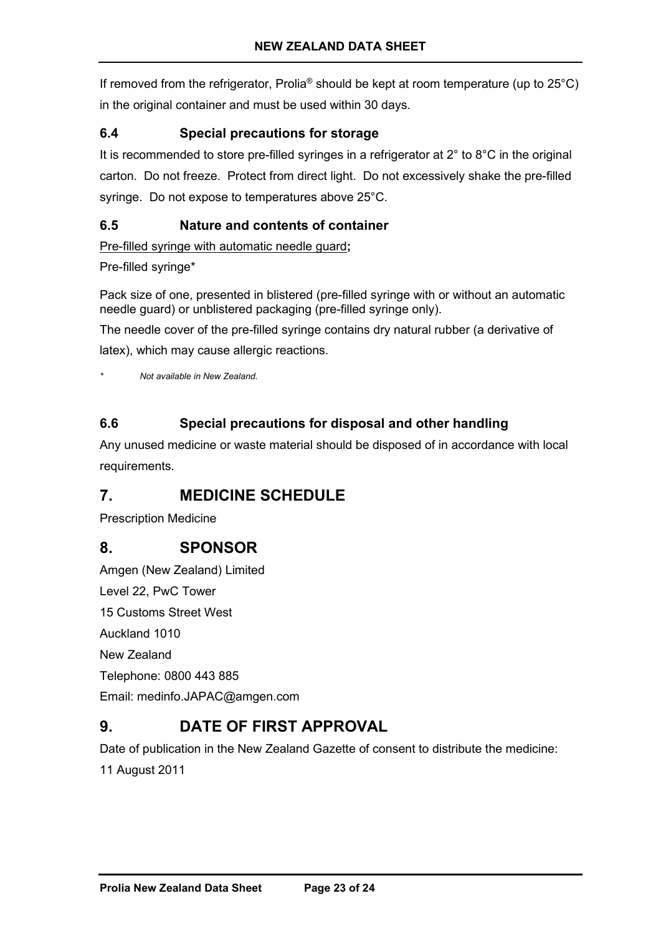If removed from the refrigerator, Prolia<sup>®</sup> should be kept at room temperature (up to  $25^{\circ}$ C) in the original container and must be used within 30 days.

# **6.4 Special precautions for storage**

It is recommended to store pre-filled syringes in a refrigerator at  $2^\circ$  to  $8^\circ$ C in the original carton. Do not freeze. Protect from direct light. Do not excessively shake the pre-filled syringe. Do not expose to temperatures above 25°C.

# **6.5 Nature and contents of container**

Pre-filled syringe with automatic needle guard**;**

### Pre-filled syringe\*

Pack size of one, presented in blistered (pre-filled syringe with or without an automatic needle guard) or unblistered packaging (pre-filled syringe only).

The needle cover of the pre-filled syringe contains dry natural rubber (a derivative of latex), which may cause allergic reactions.

*\* Not available in New Zealand.*

# **6.6 Special precautions for disposal and other handling**

Any unused medicine or waste material should be disposed of in accordance with local requirements.

# **7. MEDICINE SCHEDULE**

Prescription Medicine

# **8. SPONSOR**

Amgen (New Zealand) Limited Level 22, PwC Tower 15 Customs Street West Auckland 1010 New Zealand Telephone: 0800 443 885 Email: medinfo.JAPAC@amgen.com

# **9. DATE OF FIRST APPROVAL**

Date of publication in the New Zealand Gazette of consent to distribute the medicine:

11 August 2011